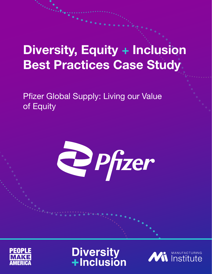# **Diversity, Equity + Inclusion Best Practices Case Study**

Pfizer Global Supply: Living our Value of Equity







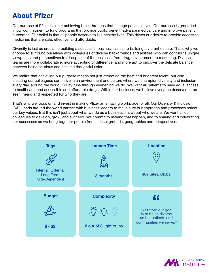### **About Pfizer**

Our purpose at Pfizer is clear: achieving breakthroughs that change patients' lives. Our purpose is grounded in our commitment to fund programs that provide public benefit, advance medical care and improve patient outcomes. Our belief is that all people deserve to live healthy lives. This drives our desire to provide access to medicines that are safe, effective, and affordable.

Diversity is just as crucial to building a successful business as it is to building a vibrant culture. That's why we choose to surround ourselves with colleagues of diverse backgrounds and abilities who can contribute unique viewpoints and perspectives to all aspects of the business, from drug development to marketing. Diverse teams are more collaborative, more accepting of difference, and more apt to discover the delicate balance between being cautious and seeking thoughtful risks.

We realize that achieving our purpose means not just attracting the best and brightest talent, but also ensuring our colleagues can thrive in an environment and culture where we champion diversity and inclusion every day, around the world. Equity runs through everything we do. We want all patients to have equal access to healthcare, and accessible and affordable drugs. Within our business, we believe everyone deserves to be seen, heard and respected for who they are.

That's why we focus on and invest in making Pfizer an amazing workplace for all. Our Diversity & Inclusion (D&I) Leads around the world partner with business leaders to make sure our approach and processes reflect our key values. But this isn't just about what we do as a business: It's about who we are. We want all our colleagues to develop, grow, and succeed. We commit to making that happen, and to sharing and celebrating our successes as we bring together people from all backgrounds, geographies and perspectives.



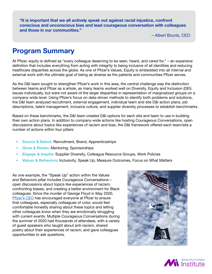**"It is important that we all actively speak out against racial injustice, confront conscious and unconscious bias and lead courageous conversation with colleagues and those in our communities."**

– Albert Bourla, CEO

### **Program Summary**

At Pfizer, equity is defined as "every colleague deserving to be seen, heard, and cared for," – an expansive definition that includes everything from acting with integrity to being inclusive of all identities and reducing healthcare disparities across the globe. As one of Pfizer's Values, Equity is embedded into all internal and external work with the ultimate goal of being as diverse as the patients and communities Pfizer serves.

As the D&I team sought to strengthen Pfizer's work in this area, the central challenge was the distinction between teams and Pfizer as a whole, as many teams worked well on Diversity, Equity and Inclusion (DEI) issues individually, but were not aware of the larger disparities in representation of marginalized groups on a company-wide level. Using Pfizer's focus on data-driven methods to identify both problems and solutions, the D&I team analyzed recruitment, external engagement, individual team and site D&I action plans, job descriptions, talent management, inclusive culture, and supplier diversity processes to establish benchmarks.

Based on these benchmarks, the D&I team created D&I options for each site and team to use in building their own action plans. In addition to company-wide actions like hosting Courageous Conversations, open discussions about topics like experiences of racism and bias, the D&I framework offered each team/site a number of actions within four pillars:

- **Source & Select:** Recruitment, Brand, Apprenticeships
- **Grow & Retain:** Mentoring, Sponsorships
- **Engage & Inspire:** Supplier Diversity, Colleague Resource Groups, Work Policies
- **Values & Behaviors:** Inclusivity, Speak Up, Measure Outcomes, Focus on What Matters

As one example, the "Speak Up" action within the Values and Behaviors pillar includes Courageous Conversations – open discussions about topics like experiences of racism, confronting biases, and creating a better environment for Black colleagues. Since the murder of George Floyd in May 2020, [Pfizer's CEO](http://www.linkedin.com/pulse/equity-action-albert-bourla/) has encouraged everyone at Pfizer to ensure that colleagues, especially colleagues of color, would feel comfortable honestly sharing about these topics and letting other colleagues know when they are emotionally struggling with current events. Multiple Courageous Conversations during the summer of 2020 had thousands of attendees, with a variety of guest speakers who taught about anti-racism, shared poetry about their experiences of racism, and gave colleagues opportunities to ask questions.



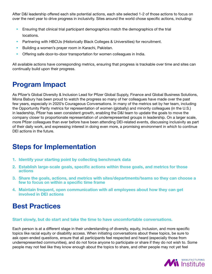After D&I leadership offered each site potential actions, each site selected 1-2 of those actions to focus on over the next year to drive progress in inclusivity. Sites around the world chose specific actions, including:

- Ensuring that clinical trial participant demographics match the demographics of the trial locations.
- Partnering with HBCUs (Historically Black Colleges & Universities) for recruitment.
- Building a women's prayer room in Karachi, Pakistan.
- Offering safe door-to-door transportation for women colleagues in India.

All available actions have corresponding metrics, ensuring that progress is trackable over time and sites can continually build upon their progress.

### **Program Impact**

As Pfizer's Global Diversity & Inclusion Lead for Pfizer Global Supply, Finance and Global Business Solutions, Mona Babury has been proud to watch the progress so many of her colleagues have made over the past few years, especially in 2020's Courageous Conversations. In many of the metrics set by her team, including the Opportunity Parity metrics for representation of women (globally) and minority colleagues (in the U.S.) in leadership, Pfizer has seen consistent growth, enabling the D&I team to update the goals to move the company closer to proportionate representation of underrepresented groups in leadership. On a larger scale, more Pfizer colleagues than ever before have been attending DEI-related events, discussing inclusivity as part of their daily work, and expressing interest in doing even more, a promising environment in which to continue DEI actions in the future.

### **Steps for Implementation**

- **1. Identify your starting point by collecting benchmark data**
- **2. Establish large-scale goals, specific actions within those goals, and metrics for those actions**
- **3. Share the goals, actions, and metrics with sites/departments/teams so they can choose a few to focus on within a specific time frame**
- **4. Maintain frequent, open communication with all employees about how they can get involved in DEI actions**

### **Best Practices**

#### **Start slowly, but do start and take the time to have uncomfortable conversations.**

Each person is at a different stage in their understanding of diversity, equity, inclusion, and more specific topics like racial equity or disability access. When initiating conversations about these topics, be sure to ask open-ended questions, ensure that all participants feel respected and heard (especially those from underrepresented communities), and do not force anyone to participate or share if they do not wish to. Some people may not feel like they know enough about the topics to share, and other people may not yet feel